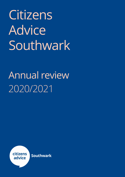Citizens Advice Southwark

# 2020/2021 Annual review

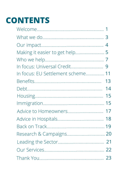# **CONTENTS**

| In focus: EU Settlement scheme 11 |    |
|-----------------------------------|----|
|                                   | 13 |
|                                   | 14 |
|                                   | 15 |
|                                   |    |
| Advice to Homeowners 17           |    |
|                                   |    |
|                                   |    |
|                                   |    |
|                                   |    |
|                                   |    |
|                                   |    |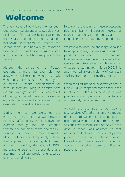### **Welcome**

The year covered by this review has seen unprecedented disruption to people's lives, health and financial wellbeing caused by the COVID-19 pandemic. The 3 national lockdowns introduced to restrict the spread of the virus had a huge impact on local people, as well as affecting our staff and volunteers, and how we provide our services.

Although the pandemic has affected everyone, its impact has been felt most acutely by local residents who are already vulnerable, perhaps as a result of physical or mental ill health, homelessness, or because they are living in poverty, have insecure immigration status, or as a result of sharing protected characteristics under equalities legislation, for example in the categories of race, disability or age.

During the year we welcomed the government assistance that was provided to those affected by the lockdown, for example through the Job Retention Scheme, the ban on evictions, and the £20 increase for Universal Credit claimants. Most creditors also temporarily relaxed their approach to recovering debts owed to them, including the Council, DWP, mortgage lenders, utilities providers, and also many creditors providing unsecured loans and credit cards.

However, the ending of these protections risk significantly increased levels of financial hardship, indebtedness, and the inequalities exacerbated by the pandemic.

We have also faced the challenge of having to adapt our ways of working during the pandemic. In each of the national lockdowns we were forced to deliver all our services remotely, either by phone, email or webchat, starting from March 2020. This also involved a vast majority of our staff working from home during this period.

When the first national lockdown ended in June 2020 we reopened face to face drop in at our 3 offices as soon as it was possible to do so, whilst also maintaining our remotely delivered services.

Although the resumption of our face to face services offered an alternative means of access to vulnerable local people, in order to take into account the very real anxieties over transmission of the virus the drop in model was adjusted so that advisers and clients were not physically present in the same interview room. Instead, clients were linked by video to advisers in another room (or office) to receive advice.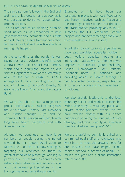#### 02 | citizens advice southwark annual review 2020/21

The same pattern followed in the 2nd and 3rd national lockdowns – and as soon as it was possible to do so we reopened our drop in sessions.

This all required much planning, often at short notice, as we responded to new government announcements, and our staff and volunteers deserve tremendous credit for their individual and collective efforts in making this happen.

At the same time as the pandemic was raging our Carers Advice and Information contract with the Council was ended, which had a significant impact on our services. Against this, we were successfully able to bid for a range of COVID emergency funding, including from the Council, United St Saviour's Charity, St George the Martyr Charity, and the Lottery Fund.

We were also able to start a major new project called Back on Track working with the 2 Southwark Primary Care Networks and funded through Guy's and St Thomas's Charity, working with people with long term health conditions and with financial worries.

Although we continued to help large numbers of people during the period covered by this report (April 2020 to March 2021), our focus is now shifting to targeting our resources on those in greatest need of help through working in partnership. This change in approach both reflects the challenging funding landscape and the increasing inequalities in the borough made worse by the pandemic.

Examples of this have been our partnership projects with local Foodbanks and Pantry initiatives such as Pecan and the Borough Food Cooperative; the Back on Track project providing advice in GP surgeries; the EU Settlement Scheme project; and projects targeting people with mental health issues and in debt.

In addition to our busy core service we have also provided specialist advice in debt, welfare benefits, housing and immigration law as well as offering advice targeted at particular groups including Council Homeowners, L&Q tenants, Foodbank users, EU nationals; and providing advice in health settings to people affected by cancer, major trauma, limb reconstruction and long term health conditions.

We also provide leadership to the local voluntary sector and work in partnership with a wide range of voluntary, public and private sector partners. Within this we have worked closely with our advice partners in updating the Southwark Advice Strategy, including identifying emerging trends and advice need post-COVID.

We are grateful to our highly skilled and committed paid staff and volunteers who work hard to meet the growing need for our services, and have helped clients achieve financial outcomes of nearly £7.5 million this year and a client satisfaction rate of over 90%.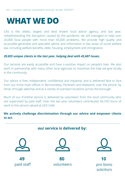### **WHAT WE DO**

CAS is the oldest, largest and best known local advice agency, and last year, notwithstanding the disruption caused by the pandemic we still managed to help over 20,000 local people with more than 45,000 problems. We provide high quality and accessible generalist and specialist advice and information in key areas of social welfare law, including welfare benefits, debt, housing, employment and immigration.

#### *20,025 unique clients in the last year, helping deal with 45,607 issues.*

Our services are easily accessible and have a positive impact on people's lives. We also work in partnership with many other local agencies to maximise the help we give locally in the community.

Our advice is free, independent, confidential and impartial, and is delivered face to face from our three main offices in Bermondsey, Peckham and Walworth, over the phone, by email, through webchat and at a variety of outreach locations across the borough.

Much of our frontline service is delivered by volunteers from the local community who are supervised by paid staff. Over the last year volunteers contributed 36,720 hours of work to the service valued at £651,646.

#### **We actively challenge discrimination through our advice and empower clients to act.**

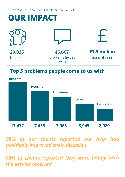04 | citizens advice southwark annual review 2020/21

| <b>OUR IMPACT</b>      |                                   |                                 |
|------------------------|-----------------------------------|---------------------------------|
|                        |                                   |                                 |
| 20,025<br>clients seen | 45,607<br>problems helped<br>with | £7.5 million<br>financial gains |

### **Top 5 problems people come to us with**



*98% of our clients reported our help had positively improved their situation*

*98% of clients reported they were happy with the service received*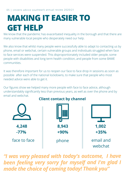# **MAKING IT EASIER TO GET HELP**

We know that the pandemic has exacerbated inequality in the borough and that there are many vulnerable local people who desperately need our help.

We also know that whilst many people were successfully able to adapt to contacting us by phone, email or webchat, certain vulnerable groups and individuals struggled when face to face services were suspended. This disproportionately included older people, some people with disabilities and long term health condition, and people from some BAME communities.

It was therefore important for us to reopen our face to face drop in sessions as soon as possible after each of the national lockdowns, to make sure that people who most needed advice were able to get it.

Our figures show we helped many more people with face to face advice, although understandably significantly less than previous years, as well as over the phone and by email and webchat.



### **Client contact by channel**

*"I was very pleased with today's outcome, <sup>I</sup> have been feeling very sorry for myself and I'm glad <sup>I</sup> made the choice of coming today! Thank you"*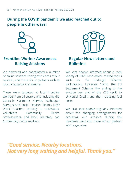### **During the COVID pandemic we also reached out to people in other ways:**



### **Frontline Worker Awareness Raising Sessions**

We delivered and coordinated a number of online sessions raising awareness of our services, and those of our partners such as local Foodbanks and Pantries.

These were targeted at local frontline workers from all sectors and including the Council's Customer Service, Exchequer Services and Social Services Teams, DWP Work Coaches working in Southwark, volunteers Community Health Ambassadors, and local Voluntary and Community Sector workers.



### **Regular Newsletters and Bulletins**

We kept people informed about a wide variety of COVID and advice related topics such as the Furlough Scheme, Redundancy, Universal Credit, the EU Settlement Scheme, the ending of the eviction ban and of the £20 uplift to Universal Credit, and the increasing fuel costs.

We also kept people regularly informed about the changing arrangements for accessing our services during the pandemic, and also those of our partner advice agencies.

*"Good service. Nearby locations. Not very long waiting and helpful. Thank you."*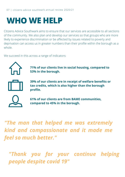## **WHO WE HELP**

Citizens Advice Southwark aims to ensure that our services are accessible to all sections of the community. We also plan and develop our services so that groups who are more likely to experience discrimination or be affected by issues related to poverty and deprivation can access us in greater numbers than their profile within the borough as a whole.

We succeed in this across a range of indicators:



**71% of our clients live in social housing, compared to 53% in the borough.**



**39% of our clients are in receipt of welfare benefits or tax credits, which is also higher than the borough profile.**



**61% of our clients are from BAME communities, compared to 45% in the borough.**

*"The man that helped me was extremely kind and compassionate and it made me feel so much better."*

*"Thank you for your continue helping people despite covid 19"*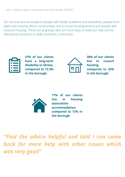Our services are accessible to people with health problems and disabilities, people from black and minority ethnic communities, and to social housing tenants and people with insecure housing. These are all groups who are more likely to need our help and be affected by recession or wider economic uncertainty.



**37% of our clients have a long-term disability or illness, compared to 13.3% in the borough.**



**36% of our clients live in council housing, compared to 32% in the borough.**



**17% of our clients live in housing association accommodation, compared to 12% in the borough.**

*"Find the advice helpful and told I can come back for more help with other issues which was very good"*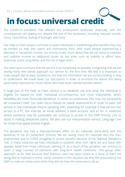# **in focus: universal credit**

The COVID-19 pandemic has affected the employment landscape drastically, with the consequences still playing out despite the end of the lockdowns, including reduced income, hours, redundancy, ending of furlough, and more.

Our Help to Claim project continues to assist individuals in establishing what benefits they may be entitled to, help with claims and maintaining them. With many people experiencing a decrease in household income, our priority is very much about how we can assist to maintain and stabilise income so additional issues do not arise, such as inability to afford basic essentials, avoid rising debts, and the risk of legal action.

Our team work to ensure that the service is as humanising as possible, recognising that we are seeing many new clients approach our service for the first time. We feel it is important to make people feel at ease, listened to, and that the information we are communicating is easy to understand. We break down our discussions in order to structure the advice, this being particularly important for those clients who have never claimed benefits before.

A large part of the Help to Claim service is to establish not only what the individual is eligible for based on their individual circumstances, but most importantly, which benefit(s) are most financially beneficial. In some circumstances, this may not necessarily be Universal Credit. Our team focus heavily on needs assessments in order to tailor the service to the individuals they're speaking with, assessing for example if that person has access to a PC, the internet, an email address, a bank account, and so on. In instances where someone may be vulnerable, we continue to access to the DWP Priority Line to assist in making telephone claims. We also use our interpretation service, Language Line for those that speak limited English.

The pandemic has had a disproportionate effect on EU nationals, particularly with the backdrop of the EU Settlement Scheme. We are seeing many EU nationals who lost their employment due to COVID struggling to access benefits because of the Habitual Residence Test. In these instances we help individuals to establish what their rights are and assist with appeals. Aside from those individuals claiming UC as a result of the pandemic, we continue to assist a large number of claimants with long-term health conditions. This group often approach us for help because their previous claim has been closed as a result of them not being able to maintain it online. Some claimants in this situation say they felt pressured by the DWP to make an online claim when they did not have the resources to do so.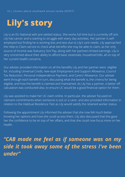# **Lily's story**

Lily is an EU National with pre-settled status. She works full time but is currently off sick. Lily has cancer and is starting to struggle with every day activities. Her partner is selfemployed but finding he is working less and less due to Lily's care needs. Lily approached the Help to Claim service to check what benefits she may be able to claim, as her only source of income was Statutory Sick Pay, along with her partners limited earnings. Lily is very concerned about their ability to afford basic essentials, household bills, all on top of her current health concerns.

Our adviser provided information on all the benefits Lily and her partner were eligible for, including Universal Credit, new-style Employment and Support Allowance, Council Tax Reduction, Personal Independence Payment, and Carers' Allowance. Our adviser went through each benefit in turn, discussing what the benefit is, the criteria for being eligible, and how the benefit is claimed and maintained. As Lily has a partner, a better-off calculation was conducted also, to ensure UC would be a good financial option for them.

Lily was assisted to make her UC claim online. In particular, the adviser focused on claimant commitments when someone is sick or a carer, and also provided information in relation to the Habitual Residence Test as Lily would satisfy the retained worker status.

Following the appointment Lily informed the adviser that she now felt much better knowing her options and how she could access them. Lily also discussed that this gave her the confidence to be on top of her affairs, and that she could now focus more on her health.

### *"CAB made me feel as if someone was on my side it took away some of the stress I've been under"*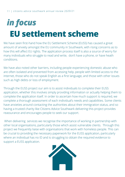# *in focus* **EU settlement scheme**

We have seen first-hand how the EU Settlement Scheme (EUSS) has caused a great amount of anxiety amongst the EU community in Southwark, with rising concerns as to how this will affect EU rights. The application process itself is also a source of worry for many individuals who struggle to read and write, don't have a phone, or have heath conditions.

We have also noted other barriers, including people experiencing domestic abuse who are often isolated and prevented from accessing help, people with limited access to the internet, those who do not speak English as a first language, and those with other issues such as high debts or loss of employment.

Through the EUSS project our aim is to assist individuals to complete their EUSS application, whether this involves simply providing information or actually helping them to complete the application itself. In order to ascertain how much support is required, we complete a thorough assessment of each individual's needs and capabilities. Some clients have anxieties around contacting the authorities about their immigration status, and so having a trusted charity like Citizens Advice Southwark delivering this project provides reassurance and encourages people to seek our support.

When delivering services we recognise the importance of working in partnership with other local organisations, particularly those which assist vulnerable clients. Through this project we frequently liaise with organisations that work with homeless people. This can be crucial to providing the necessary paperwork for the EUSS application, particularly where an individual has no ID and is struggling to obtain the required evidence to support a EUSS application.

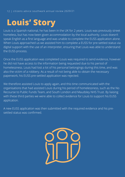# **Louis' Story**

Louis is a Spanish national, he has been in the UK for 2 years. Louis was previously street homeless, but has now been given accommodation by the local authority. Louis doesn't speak English as a first language and was unable to complete the EUSS application alone. When Louis approached us we assisted him to complete a EUSS for pre-settled status via digital support with the use of an interpreter, ensuring that Louis was able to understand the EUSS process.

Once the EUSS application was completed Louis was required to send evidence, however he did not have access to the information being requested due to his period of homelessness. Louis had lost a lot of his personal belongings during this time, and was also the victim of a robbery. As a result of not being able to obtain the necessary paperwork, his EUSS pre-settled application was rejected.

We therefore assisted Louis to apply again, and this time communicated with the organisations that had assisted Louis during his period of homelessness, such as the No Recourse to Public Funds Team, and South London and Maudsley NHS Trust. By liaising with these third parties we were able to collect evidence for Louis to support his EUSS application.

A new EUSS application was then submitted with the required evidence and his presettled status was confirmed.

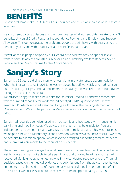13 | citizens advice southwark annual review 2020/21

### **BENEFITS**

Benefit problems make up 39% of all our enquiries and this is an increase of 11% from 2 years ago.

Nearly three-quarters of issues and over one-quarter of all our enquiries, relate to only 3 benefits: Universal Credit, Personal Independence Payment and Employment Support Allowance. This demonstrates the problems people are still having with changes to the benefits system, and with disability related benefits in particular.

As well as those people helped by our Generalist Service we provide specialist level welfare benefits advice through our MacMillan and Dimbleby Welfare Benefits Advice Service and our Major Trauma Centre Advice Service.

# **Sanjay's Story**

Sanjay is a 55 years old single man who lives alone in private rented accommodation. When he first came to us in 2018, he was employed but off work sick, and had just run out of statutory sick pay and had no income and savings. He was referred to our adviser through nurses at the hospital.

We advised Sanjay to make a new claim for Universal Credit (UC) and we assisted him with the limited capability for work-related activity (LCWRA) questionnaire. He was awarded UC, which included a standard single allowance, the housing element and LCWRA element. We also helped with a Macmillan grant application and he was awarded £400.

Sanjay had recently been diagnosed with leukaemia and had issues with managing his daily living and mobility needs. We advised him that he may be eligible for Personal Independence Payment (PIP) and we assisted him to make a claim. This was refused so we helped him with a Mandatory Reconsideration, which was also unsuccessful. We then helped him to submit an appeal, which involved arranged supporting medical evidence and submitting arguments to the tribunal on his behalf.

The appeal hearing was delayed several times due to the pandemic and because he had lost his voice and was not able to take part in any oral or video hearings until he had recovered. Sanjay's telephone hearing was finally conducted recently, and the Tribunal decided, based on the medical evidence and submissions from the adviser, that he was entitled to the enhanced rates of both the daily living and mobility components of PIP (£152.15 per week). He is also due to receive arrears of approximately £17,000.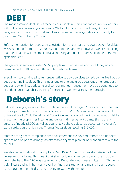### **DEBT**

The most common debt issues faced by our clients remain rent and council tax arrears with utility debt increasing significantly. We had funding from the Energy Advice Programme this year, which helped clients to deal with energy debts and to apply for grants and Warm Home Discount.

Enforcement action for debt such as eviction for rent arrears and court action for debts was suspended for most of 2020-2021 due to the pandemic however, we are expecting that the situation will become critical as housing and debt arrears start to be pursued again this year.

The generalist service assisted 5,550 people with debt issues and our Money Advice Team helped 2,018 people with complex debt problems.

In addition, we continued to run preventative support services to reduce the likelihood of people getting into debt. This includes one to one and group sessions on energy best deals and switching, budgeting and general money management. We also continued to provide financial capability training for front line workers across the borough.

### **Deborah's story**

Deborah is single, living with her two dependent children aged 10yrs and 8yrs. She used to work part-time but she lost her job due to Covid-19. Deborah is now in receipt of Universal Credit, Child Benefit, and Council tax reduction but has incurred a lot of debt as a result of the drop in her income and delays with her benefit claims. She has rent arrears of nearly £1,000 as well as council tax debt, credit cards debts, bank overdraft, store cards, personal loan and Thames Water debts; totaling £18,000.

After assisting her to complete a financial statement, we advised Deborah on her debt options and helped to arrange an affordable payment plan for her rent arrears with the council.

We also helped Deborah to apply for a Debt Relief Order (DRO) as she satisfied all the necessary conditions. This meant that she would no longer be liable for the multiple debts she had. The DRO was approved and Deborah's debts were written off. This led to a significant easing in her worry over her financial situation and meant that she could concentrate on her children and moving forward with her life.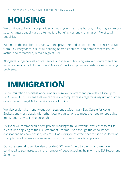### **HOUSING**

We continue to be a major provider of housing advice in the borough. Housing is now our second largest enquiry area after welfare benefits, currently running at 17% of total enquiries.

Within this the number of issues with the private rented sector continue to increase up from 23% last year to 30% of all housing related enquiries; and homelessness issues (actual and threatened) remain high at 17%.

Alongside our generalist advice service our specialist housing legal aid contract and our longstanding Council Homeowners' Advice Project also provide assistance with housing problems.

### **IMMIGRATION**

Our immigration specialist works under a legal aid contract and provides advice up to OISC Level 3. This means that we can take on complex cases regarding Asylum and other cases through Legal Aid exceptional case funding.

We also undertake monthly outreach sessions at Southwark Day Centre for Asylum Seekers and work closely with other local organisations to meet the need for specialist immigration advice in the borough.

This year we commenced a new project working with Southwark Law Centre to assist clients with applying to the EU Settlement Scheme. Even though the deadline for applications has now passed, we are still assisting clients who have missed the deadline to apply based on 'reasonable grounds' or who meet criteria to apply late.

Our core generalist service also provide OISC Level 1 help to clients, and we have continued to see increases in the number of people seeking help with the EU Settlement Scheme.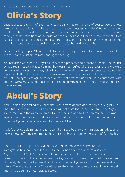### **Olivia's Story**

Olivia is a secure tenant of Southwark Council. She has rent arrears of over £4,000 and was taken to court previously by the council. A suspended possession order (SPO) was made on conditions that she paid the current rent and a small amount to clear the arrears. She did not comply with the conditions of the order and the council applied for an eviction warrant. Olivia had complained to the council about leaks from above her flat and from the next door flat due to broken pipes which the council was responsible for but had failed to fix.

We successfully helped Olivia to apply to the court for permission to bring a disrepair claim and to stop the eviction warrant pending the hearing.

We instructed an expert surveyor to inspect the property and prepare a report. The council denied repair responsibilities claiming they were not notified of the disrepair and there were problems with access. However, following our intervention, they subsequently carried out the repairs and offered to settle the counterclaim, withdraw the possession claim and the eviction warrant. Damages were agreed to clear all the rent arrears plus all previous court costs. With our help Olivia was able to remain in her property having had her disrepair fixed and her rent arrears cleared.

### **Abdul's Story**

Abdul is an Afghan failed asylum seeker with a fresh asylum application pre-August 2020. The situation was unusual, as he was fleeing, not from the Taliban, but from the Afghan government and the western forces. He was the son of a Taliban commander but was against their methods and that if returned to Afghanistan he would suffer persecution from the Afghan government and the western Allies.

Abdul's previous claim had already been dismissed by different Immigration Judges and he was now suffering from mental health issues brought on by the stress of fighting his case.

His fresh asylum application was refused and an appeal was submitted to the Immigration tribunal. Then Kabul fell to the Taliban after the western allies left Afghanistan and Abdul's fate looked bleak as it appeared there would no longer be a reason why he should not be returned to Afghanistan. However, the British government ultimately decided no Afghans should be returned to Afghanistan for the foreseeable future. Therefore the Home Office withdrew their decision to refuse Abdul's asylum claim and he has been granted refugee status.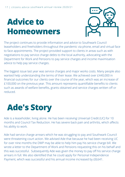# **Advice to Homeowners**



The project continues to provide information and advice to Southwark Council leaseholders and freeholders throughout the pandemic via phone, email and virtual face to face appointments. The project provided support to clients in areas such as with negotiations to pay service charge debts to the local authority, advocating with the Department for Work and Pensions to pay service charges and income maximisation advice to help pay service charges.

The biggest issue last year was service charges and major works costs. Many people also wanted help understanding the terms of their lease. We achieved over £440,000 in financial outcomes for our clients over the course of the year, which was an increase of £100,000 on the previous year. This amount represents quantifiable benefits to clients such as awards of welfare benefits, grants obtained and service charges written off or reduced.

# **Ade's Story**

Ade is a leaseholder, living alone. He has been receiving Universal Credit (UC) for 10 months and Council Tax Reduction. He has severe back pain and arthritis, which affects his ability to work.

Ade had service charge arrears which he was struggling to pay and Southwark Council were threatening court action. We advised Ade that because he had been receiving UC for over nine months the DWP may be able to help him pay his service charge bill. We wrote a letter to the Department of Work and Pensions requesting this on his behalf and this was successful. Subsequently Ade was given the money to pay off his service charge arrears in full. We also identified that he could apply for Personal Independence Payment, which was successful and his annual income increased by £8,641.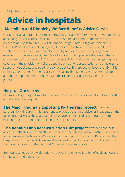# **Advice in hospitals**

#### **Macmillan and Dimbleby Welfare Benefits Advice Service**

Our Macmillan and Dimbleby project provides specialist welfare benefits advice to people affected by cancer across 3 hospital Trusts in South East London. The team have a presence at 5 hospital sites (Guy's at London Bridge, King's College at Denmark Hill, Princess Royal University at Orpington, University Hospital at Lewisham and Queen Elizabeth at Greenwich). We have also recently been successful in applying for an extension for this service at Queen Mary Hospital in Sidcup, where there is a satellite Cancer Centre for Guy's and St Thomas patients. This will allow for greater geographical coverage in the provision of welfare benefit advice and representation and enable us to support those clients who need face-to-face advice. The project achieved over £4 million in financial outcomes for clients last year, meaning that patients were better able to attend their appointments and deal with their financial issues, whilst on their cancer journey.

### **Hospital Outreachs**

At Kings College Hospital, we also have 2 outreaches providing generalist advice directly to patients in the hospital:

 $\blacksquare$  **Major Trauma Signposting Partnership project** works in partnership with Cardinal Management to provide generalist advice for inpatients on the Major Trauma ward. These are people who have experienced severe trauma from incidents such as road traffic accidents, assaults or falls.

provides generalist **The Rebuild Limb Reconstruction Unit project** advice to patients on a fortnightly basis who are undergoing limb reconstruction surgery and aftercare at the hospital. We work in partnership with the charity, Rebuild, and the hospital staff within the Unit. We are able to reach a client group that would otherwise not have had access to the help that Citizens Advice can provide.

Both outreaches cover a wide variety of advice including welfare benefits, debt, housing, immigration and employment.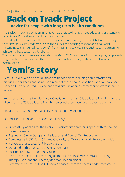# **Back on Track Project**

### **- Advice for people with long term health conditions**

The Back on Track Project is an innovative new project which provides advice and assistance to patients of GP practices in Southwark and Lambeth.

Funded by Impact on Urban Health the project involves multi-agency work between Primary Care Networks, GPs, creditors such as the council and housing associations, and Social Prescribing teams. Our advisers benefit from having these close relationships with partners to achieve the best outcomes for clients.

The project started to receive referrals from March 2021 and has a focus on helping people with long-term health conditions with financial issues such as dealing with debt and income maximisation.

### **Yemi's story**

Yemi is 47 year old and has multiple health conditions including panic attacks and arthritis in her knees and spine. As a result of these health conditions she can no longer work and is very isolated. This extends to digital isolation as Yemi cannot afford internet access.

Yemi's only income is from Universal Credit, and she has 15% deducted from her housing allowance and 25% deducted from her personal allowance for an advance payment.

She also has £9,000 of rent arrears owing to Southwark Council.

Our adviser helped Yemi achieve the following:

- Successfully applied for the Back on Track creditor breathing space with the council for rent arrears.
- Applied for Single Occupancy Reduction and Council Tax Reduction.
- Completed a UC50 Form (Limited Capability for Work and Work Related Activity).
- Helped with a successful PIP application.
- Obtained both a Taxi Card and Freedom Pass.
- Assisted to obtain food bank vouchers.
- Referred to the social prescribing team for assistance with referrals to Talking Therapy, Occupational Therapy (for mobility equipment).
- Referred to the council's Adult Social Services Team for a care needs assessment.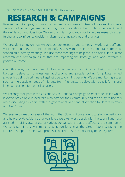### **RESEARCH & CAMPAIGNS**

Research and Campaigns is an extremely important area of Citizens Advice work and as a service we hold a huge amount of insight and data about the problems our clients and their wider communities face. We can use this insight and data to help us research issues further and to influence decision makers to change policies and practices.

We provide training on how we conduct our research and campaign work to all staff and volunteers so they are able to identify issues within their cases and raise these at scheduled quarterly meetings. We use these meetings to help focus on particular, current research and campaign issues that are impacting the borough and work towards a positive outcome.

Over this year, we have been looking at issues such as digital exclusion within the borough, delays to homelessness applications and people looking for private rented properties being discriminated against due to claiming benefits. We are monitoring issues such as the possible needs of migrants from Afghanistan, delays with benefit forms and language barriers for council services.

We recently took part in the Citizens Advice National Campaign to #KeeptheLifeline which involved providing our local MPs with data for their community and the ability to use this when discussing this point with the government. We sent information to Harriet Harman and Neil Coyle.

We ensure to keep abreast of the work that Citizens Advice are focussing on nationally and help provide evidence at a local level. We often work closely with the council and have assisted in raising awareness of various consultations that are affecting the community. We took part in a government consultation looking at the Green Paper 'Shaping the Future of Support' to help with proposals on reforms to the disability benefit system.

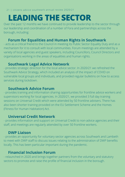# **LEADING THE SECTOR**

Over the past 12 months we have continued to provide leadership to the sector through our leadership and coordination of a number of Fora and partnerships across the borough, including:

#### **Forum for Equalities and Human Rights in Southwark**

- acts as a critical friend to the Council in meeting its Public Sector Equality Duty and as a mechanism for it to consult with local communities. Forum meetings are attended by a variety of local agencies and guest speakers, including Councillors, Council Directors and organisations working in the areas of equalities and human rights.

#### **Southwark Legal Advice Network**

- provides strategic direction for the local advice sector. In 2020/21 we refreshed the Southwark Advice Strategy, which included an analysis of the impact of COVID on vulnerable local groups and individuals, and provided regular bulletins on how to access services during lockdown.

#### **Southwark Advice Forum**

- provides training and information sharing opportunities for frontline advice workers and supervisors working for local agencies. In 2020/21, we provided 3 full day training sessions on Universal Credit which were attended by 50 frontline advisers. There has also been shorter training provided on the EU Settlement Scheme and the Homes (Fitness for Human Habitation) Act.

#### **Universal Credit Network**

- provides information and support on Universal Credit to non-advice agencies and their staff, and meetings are regularly attended by over 50 frontline workers.

#### **DWP Liaison**

- provides an opportunity for voluntary sector agencies across Southwark and Lambeth to meet with DWP staff to discuss issues relating to the administration of DWP benefits locally. This has been particular important during the pandemic.

### **Financial Inclusion Forum**

- relaunched in 2020 and brings together partners from the voluntary and statutory sectors to promote and raise the profile of financial inclusion in the borough.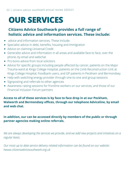# **OUR SERVICES**

### **Citizens Advice Southwark provides a full range of holistic advice and information services. These include:**

- advice and information services. These include:
- Specialist advice in debt, benefits, housing and immigration
- Advice on claiming Universal Credit
- Generalist advice and information in all areas and available face to face, over the phone, by email and webchat
- Pro bono advice from local solicitors
- Advice for specific groups including people affected by cancer, patients on the Major Trauma ward at Kings College Hospital, patients on the Limb Reconstruction Unit at Kings College Hospital, Foodbank users, and GP patients in Peckham and Bermondsey
- Help with switching energy provider through one-to-one and group sessions
- Signposting and referrals to other agencies
- Awareness raising sessions for frontline workers on our services, and those of our Financial Inclusion Forum partners

#### **Access to all of these services is by face to face drop in at our Peckham, Walworth and Bermondsey offices, through our telephone Adviceline, by email and web chat.**

#### **In addition, our can be accessed directly by members of the public or through partner agencies making online referrals.**

*We are always developing the services we provide, and we add new projects and initiatives on a regular basis.*

*Our most up to date service delivery related information can be found on our website: hwww.citizensadvicesouthwark.org.uk*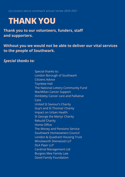23|citizens advice southwark annual review 2020-2021

### **THANK YOU**

**Thank you to our volunteers, funders, staff and supporters.**

### **Without you we would not be able to deliver our vital services to the people of Southwark.**

#### *Special thanks to:*

Special thanks to: London Borough of Southwark Citizens Advice Toynbee Hall The National Lottery Community Fund MacMillan Cancer Support Dimbleby Cancer care and Palliative Care United St Saviour's Charity Guy's and St Thomas' Charity Impact on Urban Health St George the Martyr Charity Rebuild Charity Home Office The Money and Pensions Service Southwark Homeowners Council London & Quadrant Housing Trust Winckworth Sherwood LLP DLA Piper LLP Cardinal Management Ltd Burgess Mee Family Law David Family Foundation